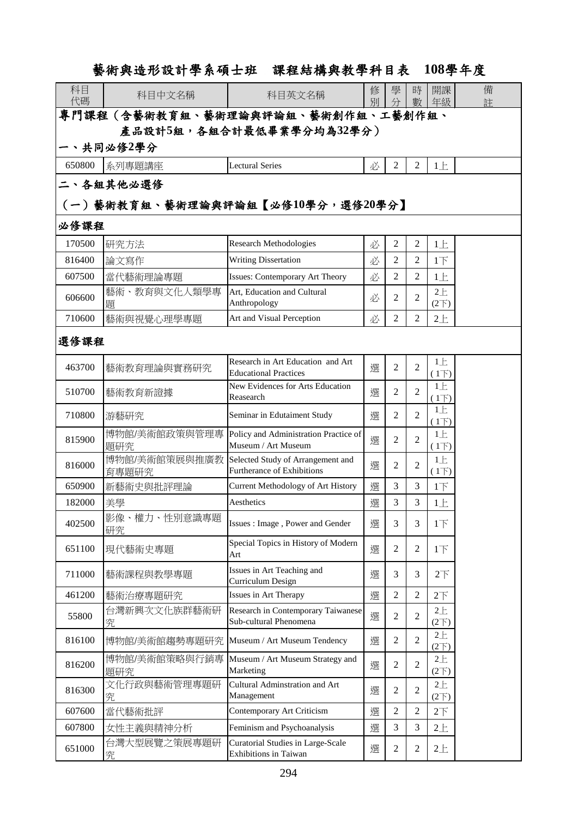## 藝術與造形設計學系碩士班 課程結構與教學科目表 **108**學年度

| 科目<br>代碼                              | 科目中文名稱                 | 科目英文名稱                                                                 | 修<br>別 | 學<br>分         | 時<br>數         | 開課<br>年級                | 備<br>註 |  |
|---------------------------------------|------------------------|------------------------------------------------------------------------|--------|----------------|----------------|-------------------------|--------|--|
| 專門課程(含藝術教育組、藝術理論與評論組、藝術創作組、工藝創作組、     |                        |                                                                        |        |                |                |                         |        |  |
| 產品設計5組,各組合計最低畢業學分均為32學分)<br>一、共同必修2學分 |                        |                                                                        |        |                |                |                         |        |  |
|                                       |                        |                                                                        |        |                |                |                         |        |  |
| 650800                                | 系列專題講座                 | <b>Lectural Series</b>                                                 | 必      | $\mathfrak{2}$ | 2              | $1 \pm$                 |        |  |
| 二丶各組其他必選修                             |                        |                                                                        |        |                |                |                         |        |  |
| (一)藝術教育組、藝術理論與評論組【必修10學分,選修20學分】      |                        |                                                                        |        |                |                |                         |        |  |
| 必修課程                                  |                        |                                                                        |        |                |                |                         |        |  |
| 170500                                | 研究方法                   | <b>Research Methodologies</b>                                          | 必      | 2              | 2              | 1E                      |        |  |
| 816400                                | 論文寫作                   | <b>Writing Dissertation</b>                                            | 必      | 2              | 2              | $1+$                    |        |  |
| 607500                                | 當代藝術理論專題               | <b>Issues: Contemporary Art Theory</b>                                 | 必      | 2              | 2              | 1E                      |        |  |
| 606600                                | 藝術、教育與文化人類學專<br>題      | Art. Education and Cultural<br>Anthropology                            | 必      | 2              | 2              | $2 +$<br>$(2\nabla)$    |        |  |
| 710600                                | 藝術與視覺心理學專題             | Art and Visual Perception                                              | 必      | 2              | $\overline{2}$ | $2+$                    |        |  |
| 選修課程                                  |                        |                                                                        |        |                |                |                         |        |  |
| 463700                                | 藝術教育理論與實務研究            | Research in Art Education and Art<br><b>Educational Practices</b>      | 選      | $\overline{c}$ | $\overline{2}$ | $1 \pm$<br>(1)          |        |  |
| 510700                                | 藝術教育新證據                | New Evidences for Arts Education<br>Reasearch                          | 選      | $\overline{c}$ | 2              | 1E<br>$(1\overline{)}$  |        |  |
| 710800                                | 游藝研究                   | Seminar in Edutaiment Study                                            | 選      | 2              | 2              | 1E<br>$(1\overline{)}$  |        |  |
| 815900                                | 博物館/美術館政策與管理專<br>題研究   | Policy and Administration Practice of<br>Museum / Art Museum           | 選      | 2              | 2              | 1E<br>(1)               |        |  |
| 816000                                | 博物館/美術館策展與推廣教<br>育專題研究 | Selected Study of Arrangement and<br><b>Furtherance of Exhibitions</b> | 選      | 2              | $\overline{2}$ | 1E<br>(1)               |        |  |
| 650900                                | 新藝術史與批評理論              | Current Methodology of Art History                                     | 選      | 3              | $\overline{3}$ | $1+$                    |        |  |
| 182000                                | 美學                     | Aesthetics                                                             | 選      | 3              | 3              | $1 \pm$                 |        |  |
| 402500                                | 影像、權力、性別意識專題<br>研究     | Issues: Image, Power and Gender                                        | 選      | 3              | 3              | $1\overline{1}$         |        |  |
| 651100                                | 現代藝術史專題                | Special Topics in History of Modern<br>Art                             | 選      | 2              | 2              | $1\overrightarrow{F}$   |        |  |
| 711000                                | 藝術課程與教學專題              | Issues in Art Teaching and<br>Curriculum Design                        | 選      | 3              | 3              | 2 <sup>T</sup>          |        |  |
| 461200                                | 藝術治療專題研究               | Issues in Art Therapy                                                  | 選      | 2              | 2              | 2 <sup>7</sup>          |        |  |
| 55800                                 | 台灣新興次文化族群藝術研<br>究      | Research in Contemporary Taiwanese<br>Sub-cultural Phenomena           | 選      | 2              | $\overline{2}$ | 2E<br>$(2\nabla)$       |        |  |
| 816100                                | 博物館/美術館趨勢專題研究          | Museum / Art Museum Tendency                                           | 選      | $\overline{c}$ | $\overline{2}$ | 2E<br>(2 <sup>2</sup> ) |        |  |
| 816200                                | 博物館/美術館策略與行銷專<br>題研究   | Museum / Art Museum Strategy and<br>Marketing                          | 選      | 2              | $\overline{2}$ | 2E<br>$(2\nabla)$       |        |  |
| 816300                                | 文化行政與藝術管理專題研<br>究      | Cultural Adminstration and Art<br>Management                           | 選      | 2              | $\overline{2}$ | 2E<br>$(2\nabla)$       |        |  |
| 607600                                | 當代藝術批評                 | Contemporary Art Criticism                                             | 選      | 2              | $\overline{2}$ | 2 <sup>T</sup>          |        |  |
| 607800                                | 女性主義與精神分析              | Feminism and Psychoanalysis                                            | 選      | 3              | 3              | 2E                      |        |  |
| 651000                                | 台灣大型展覽之策展專題研<br>究      | Curatorial Studies in Large-Scale<br>Exhibitions in Taiwan             | 選      | 2              | $\overline{2}$ | $2+$                    |        |  |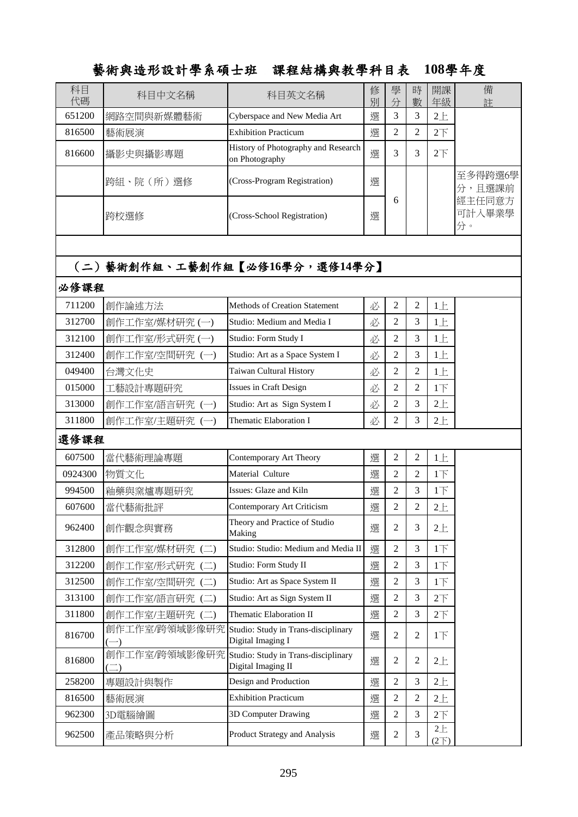## 藝術與造形設計學系碩士班 課程結構與教學科目表 **108**學年度

| 科目<br>代碼 | 科目中文名稱                                  | 科目英文名稱                                                                 | 修<br>別 | 學<br>分         | 時<br>數         | 開課<br>年級                    | 備<br>註                 |
|----------|-----------------------------------------|------------------------------------------------------------------------|--------|----------------|----------------|-----------------------------|------------------------|
| 651200   | 網路空間與新媒體藝術                              | Cyberspace and New Media Art                                           | 選      | 3              | 3              | $2+$                        |                        |
| 816500   | 藝術展演                                    | <b>Exhibition Practicum</b>                                            | 選      | $\overline{2}$ | $\overline{2}$ | 2 <sup>7</sup>              |                        |
| 816600   | 攝影史與攝影專題                                | History of Photography and Research<br>on Photography                  | 選      | 3              | 3              | $2\overline{F}$             |                        |
|          | 跨組、院 (所) 選修                             | (Cross-Program Registration)                                           | 選      |                |                |                             | 至多得跨選6學<br>分,且選課前      |
|          | 跨校選修                                    | (Cross-School Registration)                                            | 選      | 6              |                |                             | 經主任同意方<br>可計入畢業學<br>分。 |
|          |                                         |                                                                        |        |                |                |                             |                        |
|          |                                         | (二)藝術創作組、工藝創作組【必修16學分,選修14學分】                                          |        |                |                |                             |                        |
| 必修課程     |                                         |                                                                        |        |                |                |                             |                        |
| 711200   | 創作論述方法                                  | <b>Methods of Creation Statement</b>                                   | 必      | $\overline{c}$ | 2              | $1 \pm$                     |                        |
| 312700   | 創作工作室/媒材研究(一)                           | Studio: Medium and Media I                                             | 必      | $\overline{2}$ | 3              | 1E                          |                        |
| 312100   | 創作工作室/形式研究(一)                           | Studio: Form Study I                                                   | 必      | 2              | 3              | 1E                          |                        |
| 312400   | 創作工作室/空間研究(一)                           | Studio: Art as a Space System I                                        | 必      | $\overline{2}$ | 3              | 1E                          |                        |
| 049400   | 台灣文化史                                   | Taiwan Cultural History                                                | 必      | $\overline{2}$ | $\overline{2}$ | 1E                          |                        |
| 015000   | 工藝設計專題研究                                | Issues in Craft Design                                                 | 必      | 2              | $\overline{2}$ | $1\overline{1}$             |                        |
| 313000   | 創作工作室/語言研究(一)                           | Studio: Art as Sign System I                                           | 必      | $\overline{2}$ | 3              | $2+$                        |                        |
| 311800   | 創作工作室/主題研究 (一)                          | Thematic Elaboration I                                                 | 必      | 2              | 3              | 2E                          |                        |
| 選修課程     |                                         |                                                                        |        |                |                |                             |                        |
| 607500   | 當代藝術理論專題                                | Contemporary Art Theory                                                | 選      | $\overline{c}$ | $\mathfrak{2}$ | 1E                          |                        |
| 0924300  | 物質文化                                    | Material Culture                                                       | 選      | $\overline{2}$ | $\overline{2}$ | 1 <sub>l</sub>              |                        |
| 994500   | 釉藥與窯爐專題研究                               | Issues: Glaze and Kiln                                                 | 選      | 2              | 3              | $1\overline{1}$             |                        |
| 607600   | 當代藝術批評                                  | Contemporary Art Criticism                                             | 選      | 2              | $\overline{c}$ | $2+$                        |                        |
| 962400   | 創作觀念與實務                                 | Theory and Practice of Studio<br>Making                                | 選      | 2              | 3              | $2+$                        |                        |
| 312800   | 創作工作室/媒材研究(二)                           | Studio: Studio: Medium and Media II                                    | 選      | $\overline{c}$ | 3              | $1\overline{F}$             |                        |
| 312200   | 創作工作室/形式研究 (二)                          | Studio: Form Study II                                                  | 選      | $\overline{c}$ | 3              | $1\overline{1}$             |                        |
| 312500   | 創作工作室/空間研究 (二)                          | Studio: Art as Space System II                                         | 選      | $\overline{c}$ | 3              | 1 <sub>l</sub>              |                        |
| 313100   | 創作工作室/語言研究 (二)                          | Studio: Art as Sign System II                                          | 選      | 2              | 3              | 2 <sub>T</sub>              |                        |
| 311800   | 創作工作室/主題研究(二)                           | Thematic Elaboration II                                                | 選      | $\mathfrak{2}$ | 3              | $2\overline{F}$             |                        |
| 816700   |                                         | 創作工作室/跨領域影像研究 Studio: Study in Trans-disciplinary<br>Digital Imaging I | 選      | $\overline{2}$ | $\overline{2}$ | 1 <sub>T</sub>              |                        |
| 816800   | 創作工作室/跨領域影像研究<br>$\left(\square\right)$ | Studio: Study in Trans-disciplinary<br>Digital Imaging II              | 選      | $\mathfrak{2}$ | $\mathbf{2}$   | 2E                          |                        |
| 258200   | 專題設計與製作                                 | Design and Production                                                  | 選      | $\mathfrak{2}$ | 3              | $2+$                        |                        |
| 816500   | 藝術展演                                    | <b>Exhibition Practicum</b>                                            | 選      | $\overline{c}$ | $\overline{2}$ | 2E                          |                        |
| 962300   | 3D電腦繪圖                                  | 3D Computer Drawing                                                    | 選      | $\overline{2}$ | 3              | 2 <sup>T</sup>              |                        |
| 962500   | 產品策略與分析                                 | <b>Product Strategy and Analysis</b>                                   | 選      | $\mathfrak{2}$ | 3              | $2\pm$<br>(2 <sup>2</sup> ) |                        |